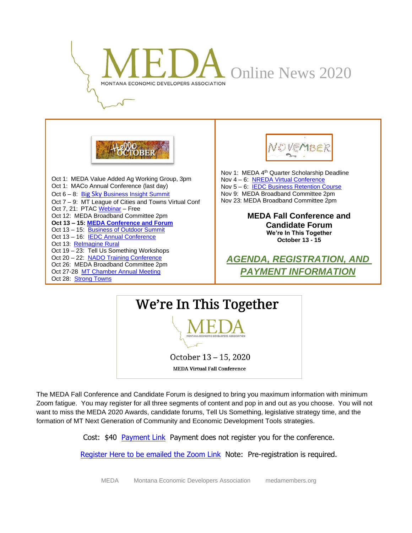# Online News 2020 MONTANA ECONOMIC DEVELOPERS ASSOCIATION



Oct 1: MEDA Value Added Ag Working Group, 3pm Oct 1: MACo Annual Conference (last day) Oct 6 – 8: Big Sky B[usiness Insight Summit](https://matr.net/event/register-now-2020-big-sky-business-insight-summit-october-6-8-2020/) Oct 7 – 9: MT League of Cities and Towns Virtual Conf Oct 7, 21: PTA[C Webinar](https://www.montanaptac.org/events/) - Free Oct 12: MEDA Broadband Committee 2pm **Oct 13 – 15[: MEDA Conference and Forum](https://www.medamembers.org/media/userfiles/subsite_48/files/MEDA%20Fall%20Conference%202020%20Agenda.pdf)** Oct 13 - 15: [Business of Outdoor Summit](https://whova.com/web/mboor_202009/) Oct 13 – 16: [IEDC Annual Conference](https://www.iedconline.org/events/2020/10/11/training-course/2020-annual-conference/) Oct 13: [ReImagine Rural](https://matr.net/event/reimagining-rural-gatherings-in-ekalaka-montana-9-15-9-29-10-13-ekalaka/2020-09-15/) Oct 19 – 23: Tell Us Something Workshops Oct 20 – 22: [NADO Training Conference](https://www.nado.org/events/2020-annual-training-conference/) Oct 26: MEDA Broadband Committee 2pm Oct 27-28 [MT Chamber Annual Meeting](https://www.montanachamber.com/events/annual-meeting/) Oct 28: [Strong Towns](https://matr.net/event/save-the-date-charles-marohn-founder-of-strong-towns-is-coming-to-missoula-via-zoom-live-on-october-28th-from-10-1130am-mst/)



Nov 1: MEDA 4<sup>th</sup> Quarter Scholarship Deadline Nov 4 – 6: [NREDA Virtual Conference](https://www.nreda.org/iCore/Events/Event_Display.aspx?EventKey=CV20) Nov 5 – 6: [IEDC Business Retention Course](https://www.iedconline.org/events/2020/11/05/training-course/business-retention-and-expansion/?utm_medium=email&utm_campaign=924%20-%20NOV-TC%20-%20BRE-1&utm_content=924%20-%20NOV-TC%20-%20BRE-1+CID_42921cf9072b36b385f0f896c80596f1&utm_source=Campaign%20Monitor%20IEDC&utm_term=REGISTER) Nov 9: MEDA Broadband Committee 2pm Nov 23: MEDA Broadband Committee 2pm

> **MEDA Fall Conference and Candidate Forum We're In This Together October 13 - 15**

*[AGENDA, REGISTRATION, AND](https://www.medamembers.org/media/userfiles/subsite_48/files/MEDA%20Fall%20Conference%202020%20Agenda.pdf)  [PAYMENT INFORMATION](https://www.medamembers.org/media/userfiles/subsite_48/files/MEDA%20Fall%20Conference%202020%20Agenda.pdf)*



The MEDA Fall Conference and Candidate Forum is designed to bring you maximum information with minimum Zoom fatigue. You may register for all three segments of content and pop in and out as you choose. You will not want to miss the MEDA 2020 Awards, candidate forums, Tell Us Something, legislative strategy time, and the formation of MT Next Generation of Community and Economic Development Tools strategies.

Cost: \$40 [Payment Link](https://otc.cdc.nicusa.com/Public2.aspx?portal=montana&organization=MEDA%20-%20Montana%20Economic%20Developers%20Association) Payment does not register you for the conference.

[Register Here to be emailed the Zoom Link](https://us02web.zoom.us/meeting/register/tZAldOuupzkiHdNIFUrGt0RZ3BtyhZNc-yi8) Note: Pre-registration is required.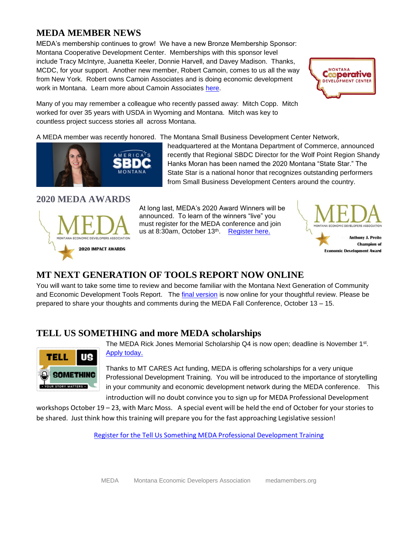#### **MEDA MEMBER NEWS**

MEDA's membership continues to grow! We have a new Bronze Membership Sponsor: Montana Cooperative Development Center. Memberships with this sponsor level include Tracy McIntyre, Juanetta Keeler, Donnie Harvell, and Davey Madison. Thanks, MCDC, for your support. Another new member, Robert Camoin, comes to us all the way from New York. Robert owns Camoin Associates and is doing economic development work in Montana. Learn more about Camoin Associates [here.](https://www.camoinassociates.com/)



Many of you may remember a colleague who recently passed away: Mitch Copp. Mitch worked for over 35 years with USDA in Wyoming and Montana. Mitch was key to countless project success stories all across Montana.

A MEDA member was recently honored. The Montana Small Business Development Center Network,



headquartered at the Montana Department of Commerce, announced recently that Regional SBDC Director for the Wolf Point Region Shandy Hanks Moran has been named the 2020 Montana "State Star." The State Star is a national honor that recognizes outstanding performers from Small Business Development Centers around the country.

#### **2020 MEDA AWARDS**



At long last, MEDA's 2020 Award Winners will be announced. To learn of the winners "live" you must register for the MEDA conference and join us at 8:30am, October 13<sup>th</sup>. [Register here.](https://www.medamembers.org/media/userfiles/subsite_48/files/MEDA%20Fall%20Conference%202020%20Agenda.pdf)



### **MT NEXT GENERATION OF TOOLS REPORT NOW ONLINE**

You will want to take some time to review and become familiar with the Montana Next Generation of Community and Economic Development Tools Report. The [final version](https://www.medamembers.org/media/userfiles/subsite_48/files/2020-09-09%20MEDA%20Next%20Generation%20Analysis%20FINAL.pdf) is now online for your thoughtful review. Please be prepared to share your thoughts and comments during the MEDA Fall Conference, October 13 – 15.

#### **TELL US SOMETHING and more MEDA scholarships**



The MEDA Rick Jones Memorial Scholarship Q4 is now open; deadline is November 1<sup>st</sup>. [Apply today.](https://www.medamembers.org/membership/scholarships)

Thanks to MT CARES Act funding, MEDA is offering scholarships for a very unique Professional Development Training. You will be introduced to the importance of storytelling in your community and economic development network during the MEDA conference. This introduction will no doubt convince you to sign up for MEDA Professional Development

workshops October 19 – 23, with Marc Moss. A special event will be held the end of October for your stories to be shared. Just think how this training will prepare you for the fast approaching Legislative session!

[Register for the Tell Us Something MEDA Professional Development Training](Register%20for%20the%20Tell%20Us%20Something%20workshop.)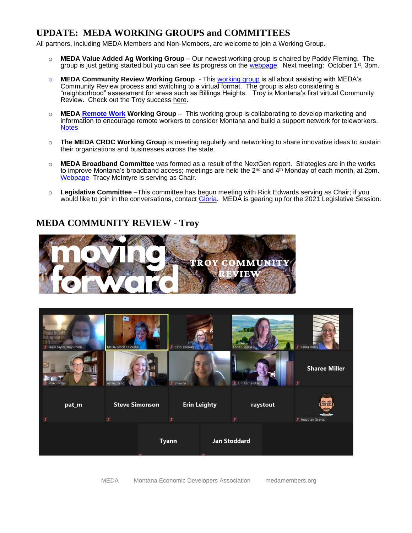#### **UPDATE: MEDA WORKING GROUPS and COMMITTEES**

All partners, including MEDA Members and Non-Members, are welcome to join a Working Group.

- o **MEDA Value Added Ag Working Group –** Our newest working group is chaired by Paddy Fleming.The group is just getting started but you can see its progress on the [webpage.](https://www.medamembers.org/working-groups/value-added-agriculture)Next meeting: October 1st, 3pm.
- o **MEDA Community Review Working Group** This [working group](https://www.medamembers.org/working-groups/community-review-working-group) is all about assisting with MEDA's Community Review process and switching to a virtual format. The group is also considering a "neighborhood" assessment for areas such as Billings Heights. Troy is Montana's first virtual Community Review. [Check out the Troy success here.](https://www.medamembers.org/resources/community-reviews)
- o **MEDA [Remote Work](https://www.medamembers.org/working-groups/remote-work/?cat=Remote+Work) Working Group** This working group is collaborating to develop marketing and information to encourage remote workers to consider Montana and build a support network for teleworkers. **[Notes](https://www.medamembers.org/working-groups/remote-work/?cat=Remote+Work)**
- o **The MEDA CRDC Working Group** is meeting regularly and networking to share innovative ideas to sustain their organizations and businesses across the state.
- o **MEDA Broadband Committee** was formed as a result of the NextGen report. Strategies are in the works to improve Montana's broadband access; meetings are held the 2<sup>nd</sup> and 4<sup>th</sup> Monday of each month, at 2pm. **Webpage** Tracy McIntyre is serving as Chair.
- o **Legislative Committee** –This committee has begun meeting with Rick Edwards serving as Chair; if you would like to join in the conversations, contact [Gloria.](mailto:gloria@medamembers.org?subject=Legislative%20Committee%20) MEDA is gearing up for the 2021 Legislative Session.

#### **MEDA COMMUNITY REVIEW - Troy**

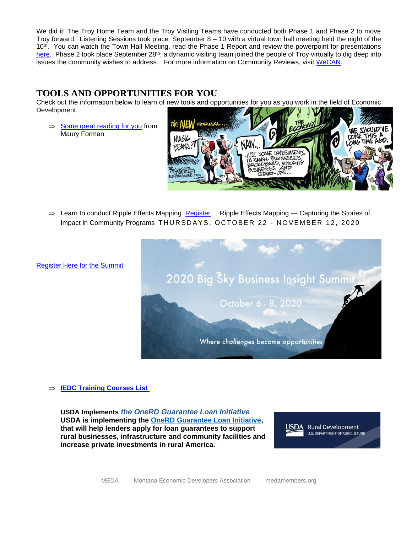We did it! The Troy Home Team and the Troy Visiting Teams have conducted both Phase 1 and Phase 2 to move Troy forward. Listening Sessions took place September 8 – 10 with a virtual town hall meeting held the night of the 10<sup>th</sup>. You can watch the Town Hall Meeting, read the Phase 1 Report and review the powerpoint for presentations [here.](https://www.medamembers.org/resources/community-reviews) Phase 2 took place September 28<sup>th</sup>; a dynamic visiting team joined the people of Troy virtually to dig deep into issues the community wishes to address. For more information on Community Reviews, visit [WeCAN.](https://www.communityreview.org/)

#### **TOOLS AND OPPORTUNITIES FOR YOU**

Check out the information below to learn of new tools and opportunities for you as you work in the field of Economic Development.

 $\Rightarrow$  [Some great reading for you](https://www.linkedin.com/pulse/great-reset-economic-development-maury-forman/) from Maury Forman



 $\Rightarrow$  Learn to conduct Ripple Effects Mapping [Register](https://www.harbingerconsult.com/ripple-effects-mapping) Ripple Effects Mapping — Capturing the Stories of Impact in Community Programs THURSDAYS, OCTOBER 22 - NOVEMBER 12, 2020

[Register Here for the Summit](https://www.eventbrite.com/e/big-sky-business-insight-summit-registration-120270746039)



#### **[IEDC Training Courses List](https://www.iedconline.org/web-pages/professional-development/iedc-training-courses/)**

**USDA Implements** *the OneRD Guarantee Loan Initiative* **USDA is implementing the [OneRD Guarantee Loan Initiative,](https://gcc02.safelinks.protection.outlook.com/?url=https%3A%2F%2Flnks.gd%2Fl%2FeyJhbGciOiJIUzI1NiJ9.eyJidWxsZXRpbl9saW5rX2lkIjoxMDIsInVyaSI6ImJwMjpjbGljayIsImJ1bGxldGluX2lkIjoiMjAyMDA4MzEuMjYzMzM4NDEiLCJ1cmwiOiJodHRwOi8vd3d3LnJkLnVzZGEuZ292L29uZXJkZ3VhcmFudGVlIn0.wcasRr2thSn6_6aVFFmeAdKrKHeZfV2Fl9RKC_2Iyzs%2Fs%2F1017913156%2Fbr%2F83006520749-l&data=02%7C01%7C%7Cd610bdd5a9b14629ac6808d84dc91a40%7Ced5b36e701ee4ebc867ee03cfa0d4697%7C0%7C0%7C637344873410630566&sdata=9A1Wqq8eLEdLYOfSB7HYR2Pf%2BFCyW2ANSjXi9FyWFWM%3D&reserved=0) that will help lenders apply for loan guarantees to support rural businesses, infrastructure and community facilities and increase private investments in rural America.**

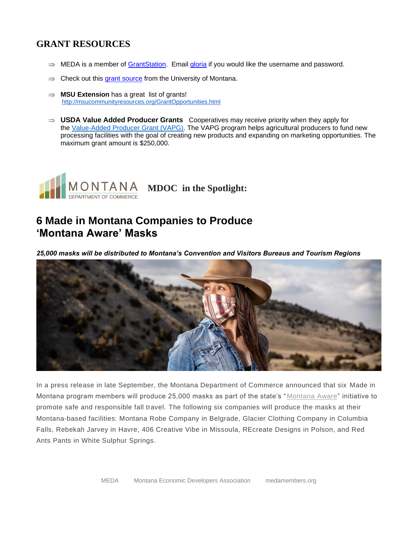#### **GRANT RESOURCES**

- $\Rightarrow$  MEDA is a member of [GrantStation.](https://grantstation.com/index.asp) Email [gloria](mailto:gloria@medamembers.org) if you would like the username and password.
- $\Rightarrow$  Check out this [grant source](http://health.umt.edu/ccfwd/resource_library/org_resources/grantwriters/default.php) from the University of Montana.
- $\Rightarrow$  **MSU Extension** has a great list of grants! <http://msucommunityresources.org/GrantOpportunities.html>
- **USDA Value Added Producer Grants** Cooperatives may receive priority when they apply for the [Value-Added Producer Grant \(VAPG\).](https://gcc02.safelinks.protection.outlook.com/?url=https%3A%2F%2Flnks.gd%2Fl%2FeyJhbGciOiJIUzI1NiJ9.eyJidWxsZXRpbl9saW5rX2lkIjoxMDksInVyaSI6ImJwMjpjbGljayIsImJ1bGxldGluX2lkIjoiMjAyMDA3MjAuMjQ2MzYyMTEiLCJ1cmwiOiJodHRwczovL2djYzAyLnNhZmVsaW5rcy5wcm90ZWN0aW9uLm91dGxvb2suY29tLz91cmw9aHR0cHMlM0ElMkYlMkZsbmtzLmdkJTJGbCUyRmV5SmhiR2NpT2lKSVV6STFOaUo5LmV5SmlkV3hzWlhScGJsOXNhVzVyWDJsa0lqb3hNVGNzSW5WeWFTSTZJbUp3TWpwamJHbGpheUlzSW1KMWJHeGxkR2x1WDJsa0lqb2lNakF5TURBM01UVXVNalEwTXpFMk1ERWlMQ0oxY213aU9pSm9kSFJ3Y3pvdkwzZDNkeTV5WkM1MWMyUmhMbWR2ZGk5d2NtOW5jbUZ0Y3kxelpYSjJhV05sY3k5MllXeDFaUzFoWkdSbFpDMXdjbTlrZFdObGNpMW5jbUZ1ZEhNaWZRLjNhcldDUXcxX3laMnUtRjZaSzB1N3FOMnBVT0daWlZZWTdVeVNWNG4yNDQlMkZzJTJGOTg1OTg3NTUlMkZiciUyRjgxMDkxMDI0MDgwLWwmZGF0YT0wMiU3QzAxJTdDJTdDOTMxNDY4MGRiNWUxNDRkYWIyZTgwOGQ4MmNjNGY3ZmElN0NlZDViMzZlNzAxZWU0ZWJjODY3ZWUwM2NmYTBkNDY5NyU3QzAlN0MwJTdDNjM3MzA4NTcxNzczNTU5Nzc5JnNkYXRhPWI0b1k4SGJvJTJGZUdQOUlRS0wyOWo5SkVkM0pQY3ZaWDdoeGZ5REpaZm9vbyUzRCZyZXNlcnZlZD0wIn0.yV-qxrI8PHjYC8tMFNAAG-QRhrdTFO9itSVd-q0SdO4%2Fs%2F1017913156%2Fbr%2F81265051134-l&data=02%7C01%7C%7Ca01df15a9a6d4f61adef08d82ce7b17b%7Ced5b36e701ee4ebc867ee03cfa0d4697%7C0%7C0%7C637308720910102558&sdata=VP2v%2FZZYFbZTXuoxotchYmF0CEuPj6zm0kmXUxnedSQ%3D&reserved=0) The VAPG program helps agricultural producers to fund new processing facilities with the goal of creating new products and expanding on marketing opportunities. The maximum grant amount is \$250,000.



## **6 Made in Montana Companies to Produce 'Montana Aware' Masks**

*25,000 masks will be distributed to Montana's Convention and Visitors Bureaus and Tourism Regions*



In a press release in late September, the Montana Department of Commerce announced that six Made in [Montana](https://www.visitmt.com/montana-aware) program members will produce 25,000 masks as part of the state's "Montana Aware" initiative to promote safe and responsible fall travel. The following six companies will produce the masks at their Montana-based facilities: Montana Robe Company in Belgrade, Glacier Clothing Company in Columbia Falls, Rebekah Jarvey in Havre, 406 Creative Vibe in Missoula, REcreate Designs in Polson, and Red Ants Pants in White Sulphur Springs.